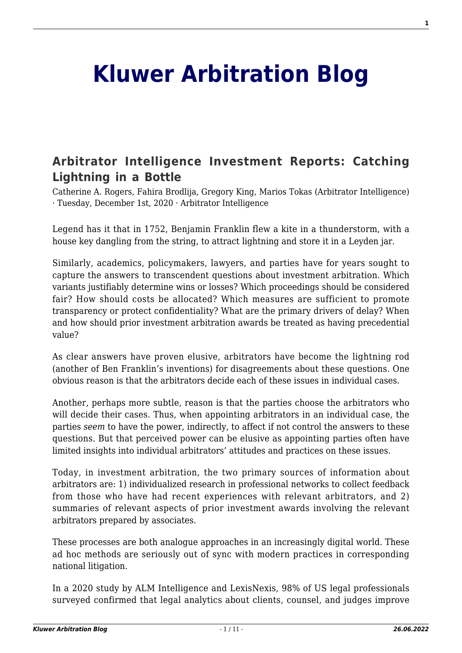# **[Kluwer Arbitration Blog](http://arbitrationblog.kluwerarbitration.com/)**

## **[Arbitrator Intelligence Investment Reports: Catching](http://arbitrationblog.kluwerarbitration.com/2020/12/01/arbitrator-intelligence-investment-reports-catching-lightning-in-a-bottle/) [Lightning in a Bottle](http://arbitrationblog.kluwerarbitration.com/2020/12/01/arbitrator-intelligence-investment-reports-catching-lightning-in-a-bottle/)**

Catherine A. Rogers, Fahira Brodlija, Gregory King, Marios Tokas (Arbitrator Intelligence) · Tuesday, December 1st, 2020 · Arbitrator Intelligence

Legend has it that in 1752, Benjamin Franklin flew a kite in a thunderstorm, with a house key dangling from the string, to attract lightning and store it in a Leyden jar.

Similarly, academics, policymakers, lawyers, and parties have for years sought to capture the answers to transcendent questions about investment arbitration. Which variants justifiably determine wins or losses? Which proceedings should be considered fair? How should costs be allocated? Which measures are sufficient to promote transparency or protect confidentiality? What are the primary drivers of delay? When and how should prior investment arbitration awards be treated as having precedential value?

As clear answers have proven elusive, arbitrators have become the lightning rod (another of Ben Franklin's inventions) for disagreements about these questions. One obvious reason is that the arbitrators decide each of these issues in individual cases.

Another, perhaps more subtle, reason is that the parties choose the arbitrators who will decide their cases. Thus, when appointing arbitrators in an individual case, the parties *seem* to have the power, indirectly, to affect if not control the answers to these questions. But that perceived power can be elusive as appointing parties often have limited insights into individual arbitrators' attitudes and practices on these issues.

Today, in investment arbitration, the two primary sources of information about arbitrators are: 1) individualized research in professional networks to collect feedback from those who have had recent experiences with relevant arbitrators, and 2) summaries of relevant aspects of prior investment awards involving the relevant arbitrators prepared by associates.

These processes are both analogue approaches in an increasingly digital world. These ad hoc methods are seriously out of sync with modern practices in corresponding national litigation.

In a 2020 study by ALM Intelligence and LexisNexis, 98% of US legal professionals surveyed confirmed that legal analytics about clients, counsel, and judges improve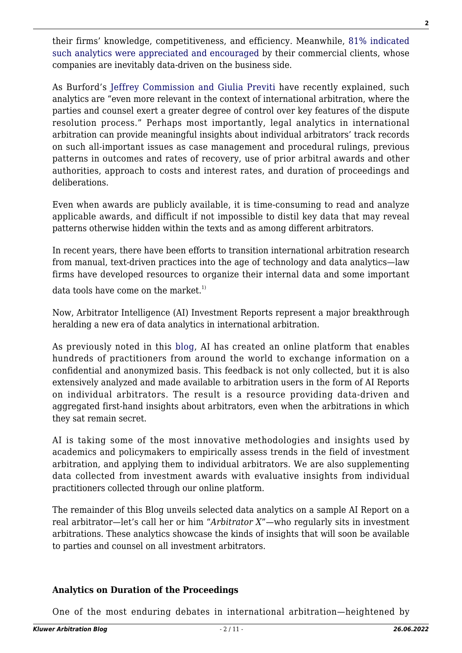their firms' knowledge, competitiveness, and efficiency. Meanwhile, [81% indicated](https://www.lexisnexis.com/en-us/products/lexis-analytics/2020-Legal-Analytics-Study.page) [such analytics were appreciated and encouraged](https://www.lexisnexis.com/en-us/products/lexis-analytics/2020-Legal-Analytics-Study.page) by their commercial clients, whose companies are inevitably data-driven on the business side.

As Burford's [Jeffrey Commission and Giulia Previti](https://www.law.com/newyorklawjournal/2020/11/20/the-increasing-use-of-data-analytics-in-international-arbitration/) have recently explained, such analytics are "even more relevant in the context of international arbitration, where the parties and counsel exert a greater degree of control over key features of the dispute resolution process." Perhaps most importantly, legal analytics in international arbitration can provide meaningful insights about individual arbitrators' track records on such all-important issues as case management and procedural rulings, previous patterns in outcomes and rates of recovery, use of prior arbitral awards and other authorities, approach to costs and interest rates, and duration of proceedings and deliberations.

Even when awards are publicly available, it is time-consuming to read and analyze applicable awards, and difficult if not impossible to distil key data that may reveal patterns otherwise hidden within the texts and as among different arbitrators.

In recent years, there have been efforts to transition international arbitration research from manual, text-driven practices into the age of technology and data analytics—law firms have developed resources to organize their internal data and some important

data tools have come on the market.<sup>1)</sup>

Now, Arbitrator Intelligence (AI) Investment Reports represent a major breakthrough heralding a new era of data analytics in international arbitration.

As previously noted in this [blog](http://arbitrationblog.kluwerarbitration.com/2018/05/31/data-driven-decision-making-from-fine-wine-to-fine-arbitrators/), AI has created an online platform that enables hundreds of practitioners from around the world to exchange information on a confidential and anonymized basis. This feedback is not only collected, but it is also extensively analyzed and made available to arbitration users in the form of AI Reports on individual arbitrators. The result is a resource providing data-driven and aggregated first-hand insights about arbitrators, even when the arbitrations in which they sat remain secret.

AI is taking some of the most innovative methodologies and insights used by academics and policymakers to empirically assess trends in the field of investment arbitration, and applying them to individual arbitrators. We are also supplementing data collected from investment awards with evaluative insights from individual practitioners collected through our online platform.

The remainder of this Blog unveils selected data analytics on a sample AI Report on a real arbitrator—let's call her or him "*Arbitrator X*"—who regularly sits in investment arbitrations. These analytics showcase the kinds of insights that will soon be available to parties and counsel on all investment arbitrators.

#### **Analytics on Duration of the Proceedings**

One of the most enduring debates in international arbitration—heightened by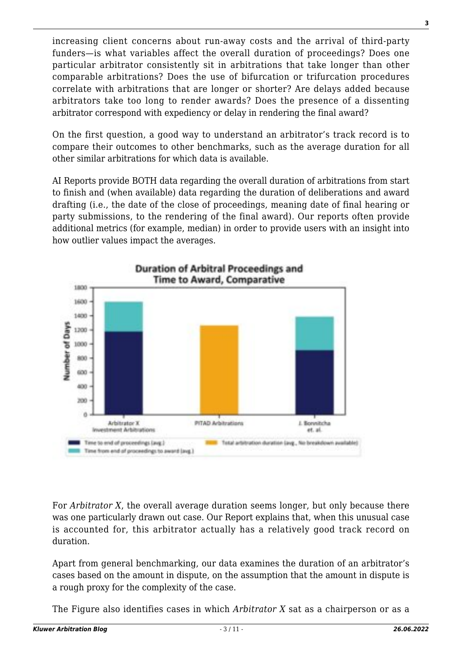increasing client concerns about run-away costs and the arrival of third-party funders—is what variables affect the overall duration of proceedings? Does one particular arbitrator consistently sit in arbitrations that take longer than other comparable arbitrations? Does the use of bifurcation or trifurcation procedures correlate with arbitrations that are longer or shorter? Are delays added because arbitrators take too long to render awards? Does the presence of a dissenting arbitrator correspond with expediency or delay in rendering the final award?

On the first question, a good way to understand an arbitrator's track record is to compare their outcomes to other benchmarks, such as the average duration for all other similar arbitrations for which data is available.

AI Reports provide BOTH data regarding the overall duration of arbitrations from start to finish and (when available) data regarding the duration of deliberations and award drafting (i.e., the date of the close of proceedings, meaning date of final hearing or party submissions, to the rendering of the final award). Our reports often provide additional metrics (for example, median) in order to provide users with an insight into how outlier values impact the averages.



For *Arbitrator X*, the overall average duration seems longer, but only because there was one particularly drawn out case. Our Report explains that, when this unusual case is accounted for, this arbitrator actually has a relatively good track record on duration.

Apart from general benchmarking, our data examines the duration of an arbitrator's cases based on the amount in dispute, on the assumption that the amount in dispute is a rough proxy for the complexity of the case.

The Figure also identifies cases in which *Arbitrator X* sat as a chairperson or as a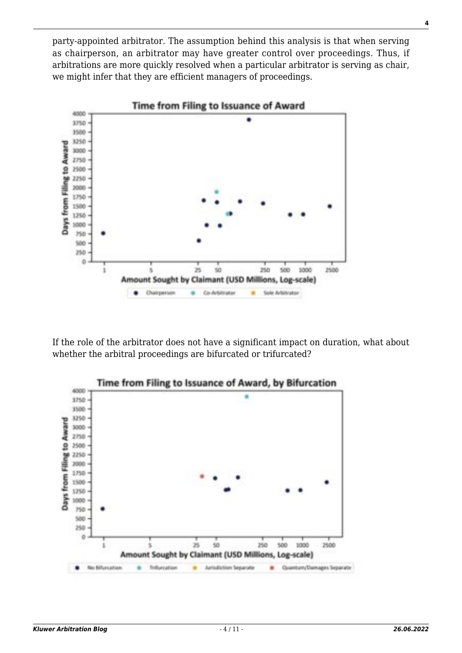party-appointed arbitrator. The assumption behind this analysis is that when serving as chairperson, an arbitrator may have greater control over proceedings. Thus, if arbitrations are more quickly resolved when a particular arbitrator is serving as chair, we might infer that they are efficient managers of proceedings.



If the role of the arbitrator does not have a significant impact on duration, what about whether the arbitral proceedings are bifurcated or trifurcated?



**4**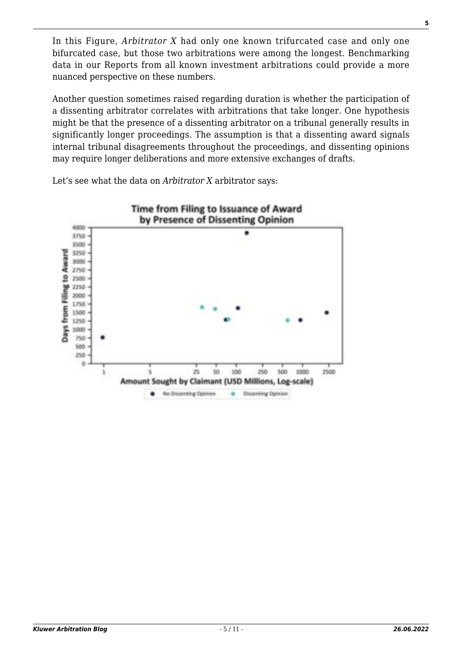In this Figure, *Arbitrator X* had only one known trifurcated case and only one bifurcated case, but those two arbitrations were among the longest. Benchmarking data in our Reports from all known investment arbitrations could provide a more nuanced perspective on these numbers.

Another question sometimes raised regarding duration is whether the participation of a dissenting arbitrator correlates with arbitrations that take longer. One hypothesis might be that the presence of a dissenting arbitrator on a tribunal generally results in significantly longer proceedings. The assumption is that a dissenting award signals internal tribunal disagreements throughout the proceedings, and dissenting opinions may require longer deliberations and more extensive exchanges of drafts.

Let's see what the data on *Arbitrator X* arbitrator says:

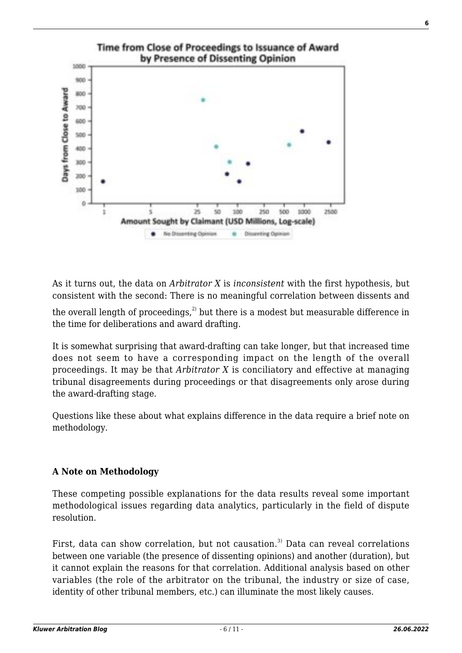

As it turns out, the data on *Arbitrator X* is *inconsistent* with the first hypothesis, but consistent with the second: There is no meaningful correlation between dissents and

the overall length of proceedings, $^{2}$  but there is a modest but measurable difference in the time for deliberations and award drafting.

It is somewhat surprising that award-drafting can take longer, but that increased time does not seem to have a corresponding impact on the length of the overall proceedings. It may be that *Arbitrator X* is conciliatory and effective at managing tribunal disagreements during proceedings or that disagreements only arose during the award-drafting stage.

Questions like these about what explains difference in the data require a brief note on methodology.

### **A Note on Methodology**

These competing possible explanations for the data results reveal some important methodological issues regarding data analytics, particularly in the field of dispute resolution.

First, data can show correlation, but not causation.<sup>3)</sup> Data can reveal correlations between one variable (the presence of dissenting opinions) and another (duration), but it cannot explain the reasons for that correlation. Additional analysis based on other variables (the role of the arbitrator on the tribunal, the industry or size of case, identity of other tribunal members, etc.) can illuminate the most likely causes.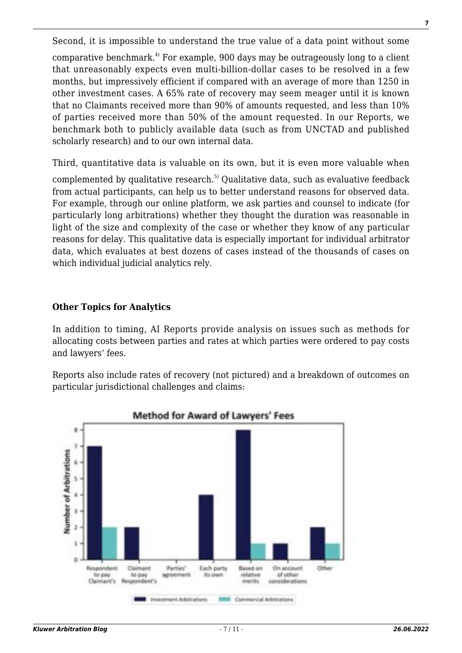Second, it is impossible to understand the true value of a data point without some comparative benchmark.<sup> $4$ </sup> For example, 900 days may be outrageously long to a client that unreasonably expects even multi-billion-dollar cases to be resolved in a few months, but impressively efficient if compared with an average of more than 1250 in other investment cases. A 65% rate of recovery may seem meager until it is known that no Claimants received more than 90% of amounts requested, and less than 10% of parties received more than 50% of the amount requested. In our Reports, we benchmark both to publicly available data (such as from UNCTAD and published scholarly research) and to our own internal data.

Third, quantitative data is valuable on its own, but it is even more valuable when complemented by qualitative research.<sup>5)</sup> Qualitative data, such as evaluative feedback from actual participants, can help us to better understand reasons for observed data. For example, through our online platform, we ask parties and counsel to indicate (for particularly long arbitrations) whether they thought the duration was reasonable in light of the size and complexity of the case or whether they know of any particular reasons for delay. This qualitative data is especially important for individual arbitrator data, which evaluates at best dozens of cases instead of the thousands of cases on which individual judicial analytics rely.

#### **Other Topics for Analytics**

In addition to timing, AI Reports provide analysis on issues such as methods for allocating costs between parties and rates at which parties were ordered to pay costs and lawyers' fees.

Reports also include rates of recovery (not pictured) and a breakdown of outcomes on particular jurisdictional challenges and claims:

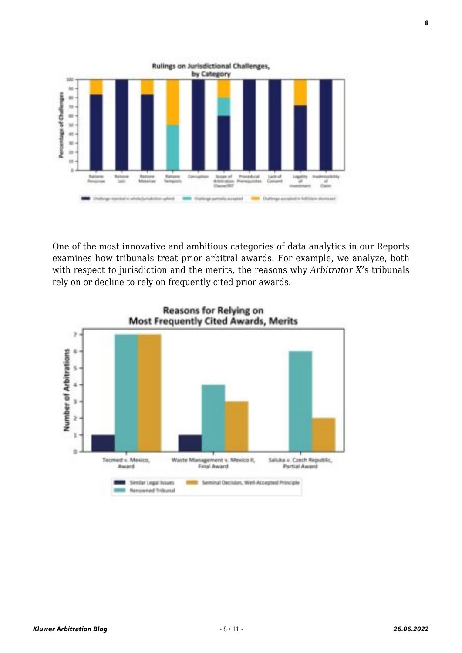

One of the most innovative and ambitious categories of data analytics in our Reports examines how tribunals treat prior arbitral awards. For example, we analyze, both with respect to jurisdiction and the merits, the reasons why *Arbitrator X*'s tribunals rely on or decline to rely on frequently cited prior awards.

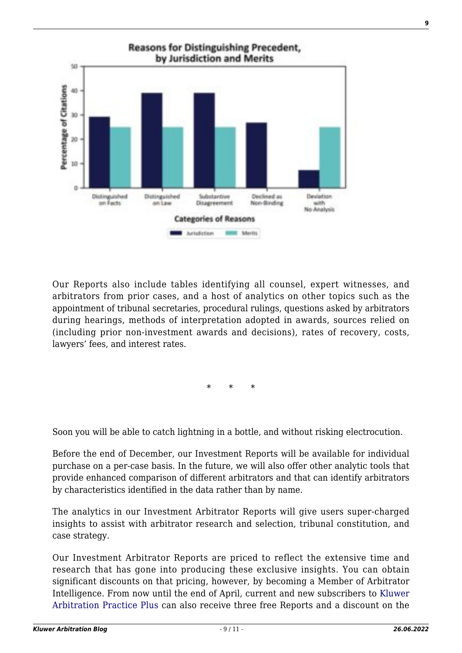

Our Reports also include tables identifying all counsel, expert witnesses, and arbitrators from prior cases, and a host of analytics on other topics such as the appointment of tribunal secretaries, procedural rulings, questions asked by arbitrators during hearings, methods of interpretation adopted in awards, sources relied on (including prior non-investment awards and decisions), rates of recovery, costs, lawyers' fees, and interest rates.

\* \* \*

Soon you will be able to catch lightning in a bottle, and without risking electrocution.

Before the end of December, our Investment Reports will be available for individual purchase on a per-case basis. In the future, we will also offer other analytic tools that provide enhanced comparison of different arbitrators and that can identify arbitrators by characteristics identified in the data rather than by name.

The analytics in our Investment Arbitrator Reports will give users super-charged insights to assist with arbitrator research and selection, tribunal constitution, and case strategy.

Our Investment Arbitrator Reports are priced to reflect the extensive time and research that has gone into producing these exclusive insights. You can obtain significant discounts on that pricing, however, by becoming a Member of Arbitrator Intelligence. From now until the end of April, current and new subscribers to [Kluwer](https://www.kluwerarbitration.com/arbitrator-intelligence) [Arbitration Practice Plus](https://www.kluwerarbitration.com/arbitrator-intelligence) can also receive three free Reports and a discount on the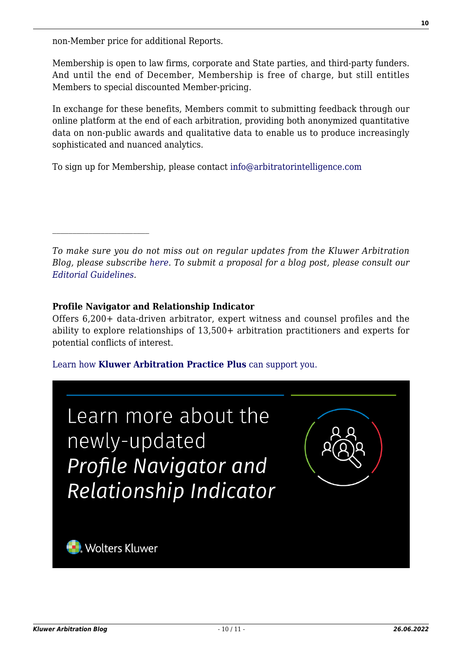non-Member price for additional Reports.

Membership is open to law firms, corporate and State parties, and third-party funders. And until the end of December, Membership is free of charge, but still entitles Members to special discounted Member-pricing.

In exchange for these benefits, Members commit to submitting feedback through our online platform at the end of each arbitration, providing both anonymized quantitative data on non-public awards and qualitative data to enable us to produce increasingly sophisticated and nuanced analytics.

To sign up for Membership, please contact [info@arbitratorintelligence.com](mailto:info@arbitratorintelligence.com)

*To make sure you do not miss out on regular updates from the Kluwer Arbitration Blog, please subscribe [here](http://arbitrationblog.kluwerarbitration.com/newsletter/). To submit a proposal for a blog post, please consult our [Editorial Guidelines.](http://arbitrationblog.kluwerarbitration.com/editorial-guidelines/)*

#### **Profile Navigator and Relationship Indicator**

Offers 6,200+ data-driven arbitrator, expert witness and counsel profiles and the ability to explore relationships of 13,500+ arbitration practitioners and experts for potential conflicts of interest.

#### [Learn how](https://www.wolterskluwer.com/en/solutions/kluwerarbitration/practiceplus?utm_source=arbitrationblog&utm_medium=articleCTA&utm_campaign=article-banner) **[Kluwer Arbitration Practice Plus](https://www.wolterskluwer.com/en/solutions/kluwerarbitration/practiceplus?utm_source=arbitrationblog&utm_medium=articleCTA&utm_campaign=article-banner)** [can support you.](https://www.wolterskluwer.com/en/solutions/kluwerarbitration/practiceplus?utm_source=arbitrationblog&utm_medium=articleCTA&utm_campaign=article-banner)